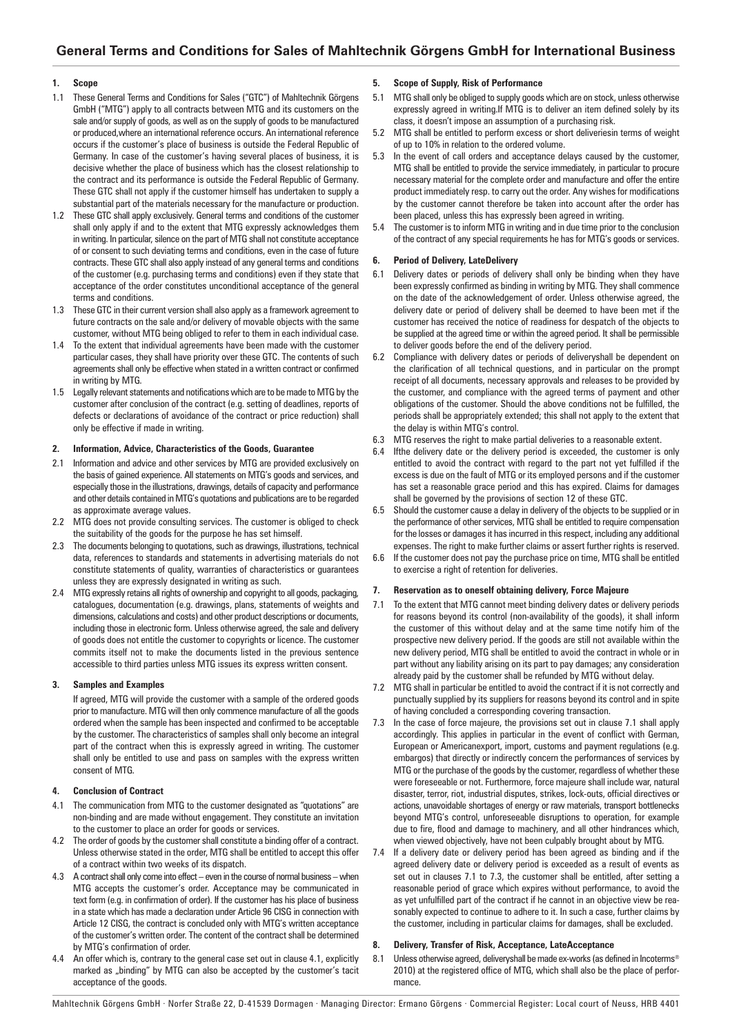# **1. Scope**

- 1.1 These General Terms and Conditions for Sales ("GTC") of Mahltechnik Görgens GmbH ("MTG") apply to all contracts between MTG and its customers on the sale and/or supply of goods, as well as on the supply of goods to be manufactured or produced,where an international reference occurs. An international reference occurs if the customer's place of business is outside the Federal Republic of Germany. In case of the customer's having several places of business, it is decisive whether the place of business which has the closest relationship to the contract and its performance is outside the Federal Republic of Germany. These GTC shall not apply if the customer himself has undertaken to supply a substantial part of the materials necessary for the manufacture or production.
- 1.2 These GTC shall apply exclusively. General terms and conditions of the customer shall only apply if and to the extent that MTG expressly acknowledges them in writing. In particular, silence on the part of MTG shall not constitute acceptance of or consent to such deviating terms and conditions, even in the case of future contracts. These GTC shall also apply instead of any general terms and conditions of the customer (e.g. purchasing terms and conditions) even if they state that acceptance of the order constitutes unconditional acceptance of the general terms and conditions.
- These GTC in their current version shall also apply as a framework agreement to future contracts on the sale and/or delivery of movable objects with the same customer, without MTG being obliged to refer to them in each individual case.
- 1.4 To the extent that individual agreements have been made with the customer particular cases, they shall have priority over these GTC. The contents of such agreements shall only be effective when stated in a written contract or confirmed in writing by MTG.
- 1.5 Legally relevant statements and notifications which are to be made to MTG by the customer after conclusion of the contract (e.g. setting of deadlines, reports of defects or declarations of avoidance of the contract or price reduction) shall only be effective if made in writing.

## **2. Information, Advice, Characteristics of the Goods, Guarantee**

- 2.1 Information and advice and other services by MTG are provided exclusively on the basis of gained experience. All statements on MTG's goods and services, and especially those in the illustrations, drawings, details of capacity and performance and other details contained in MTG's quotations and publications are to be regarded as approximate average values.
- 2.2 MTG does not provide consulting services. The customer is obliged to check the suitability of the goods for the purpose he has set himself.
- 2.3 The documents belonging to quotations, such as drawings, illustrations, technical data, references to standards and statements in advertising materials do not constitute statements of quality, warranties of characteristics or guarantees unless they are expressly designated in writing as such.
- 2.4 MTG expressly retains all rights of ownership and copyright to all goods, packaging, catalogues, documentation (e.g. drawings, plans, statements of weights and dimensions, calculations and costs) and other product descriptions or documents, including those in electronic form. Unless otherwise agreed, the sale and delivery of goods does not entitle the customer to copyrights or licence. The customer commits itself not to make the documents listed in the previous sentence accessible to third parties unless MTG issues its express written consent.

## **3. Samples and Examples**

If agreed, MTG will provide the customer with a sample of the ordered goods prior to manufacture. MTG will then only commence manufacture of all the goods ordered when the sample has been inspected and confirmed to be acceptable by the customer. The characteristics of samples shall only become an integral part of the contract when this is expressly agreed in writing. The customer shall only be entitled to use and pass on samples with the express written consent of MTG.

# **4. Conclusion of Contract**

- 4.1 The communication from MTG to the customer designated as "quotations" are non-binding and are made without engagement. They constitute an invitation to the customer to place an order for goods or services.
- 4.2 The order of goods by the customer shall constitute a binding offer of a contract. Unless otherwise stated in the order, MTG shall be entitled to accept this offer of a contract within two weeks of its dispatch.
- 4.3 A contract shall only come into effect even in the course of normal business when MTG accepts the customer's order. Acceptance may be communicated in text form (e.g. in confirmation of order). If the customer has his place of business in a state which has made a declaration under Article 96 CISG in connection with Article 12 CISG, the contract is concluded only with MTG's written acceptance of the customer's written order. The content of the contract shall be determined by MTG's confirmation of order.
- An offer which is, contrary to the general case set out in clause 4.1, explicitly marked as "binding" by MTG can also be accepted by the customer's tacit acceptance of the goods.

# **5. Scope of Supply, Risk of Performance**

- 5.1 MTG shall only be obliged to supply goods which are on stock, unless otherwise expressly agreed in writing.If MTG is to deliver an item defined solely by its class, it doesn't impose an assumption of a purchasing risk.
- 5.2 MTG shall be entitled to perform excess or short deliveriesin terms of weight of up to 10% in relation to the ordered volume.
- 5.3 In the event of call orders and acceptance delays caused by the customer, MTG shall be entitled to provide the service immediately, in particular to procure necessary material for the complete order and manufacture and offer the entire product immediately resp. to carry out the order. Any wishes for modifications by the customer cannot therefore be taken into account after the order has been placed, unless this has expressly been agreed in writing.
- The customer is to inform MTG in writing and in due time prior to the conclusion of the contract of any special requirements he has for MTG's goods or services.

# **6. Period of Delivery, LateDelivery**

- 6.1 Delivery dates or periods of delivery shall only be binding when they have been expressly confirmed as binding in writing by MTG. They shall commence on the date of the acknowledgement of order. Unless otherwise agreed, the delivery date or period of delivery shall be deemed to have been met if the customer has received the notice of readiness for despatch of the objects to be supplied at the agreed time or within the agreed period. It shall be permissible to deliver goods before the end of the delivery period.
- 6.2 Compliance with delivery dates or periods of deliveryshall be dependent on the clarification of all technical questions, and in particular on the prompt receipt of all documents, necessary approvals and releases to be provided by the customer, and compliance with the agreed terms of payment and other obligations of the customer. Should the above conditions not be fulfilled, the periods shall be appropriately extended; this shall not apply to the extent that the delay is within MTG's control.
- 6.3 MTG reserves the right to make partial deliveries to a reasonable extent.
- 6.4 Ifthe delivery date or the delivery period is exceeded, the customer is only entitled to avoid the contract with regard to the part not yet fulfilled if the excess is due on the fault of MTG or its employed persons and if the customer has set a reasonable grace period and this has expired. Claims for damages shall be governed by the provisions of section 12 of these GTC.
- 6.5 Should the customer cause a delay in delivery of the objects to be supplied or in the performance of other services, MTG shall be entitled to require compensation for the losses or damages it has incurred in this respect, including any additional expenses. The right to make further claims or assert further rights is reserved.
- 6.6 If the customer does not pay the purchase price on time, MTG shall be entitled to exercise a right of retention for deliveries.

# **7. Reservation as to oneself obtaining delivery, Force Majeure**

- 7.1 To the extent that MTG cannot meet binding delivery dates or delivery periods for reasons beyond its control (non-availability of the goods), it shall inform the customer of this without delay and at the same time notify him of the prospective new delivery period. If the goods are still not available within the new delivery period, MTG shall be entitled to avoid the contract in whole or in part without any liability arising on its part to pay damages; any consideration already paid by the customer shall be refunded by MTG without delay.
- 7.2 MTG shall in particular be entitled to avoid the contract if it is not correctly and punctually supplied by its suppliers for reasons beyond its control and in spite of having concluded a corresponding covering transaction.
- 7.3 In the case of force majeure, the provisions set out in clause 7.1 shall apply accordingly. This applies in particular in the event of conflict with German, European or Americanexport, import, customs and payment regulations (e.g. embargos) that directly or indirectly concern the performances of services by MTG or the purchase of the goods by the customer, regardless of whether these were foreseeable or not. Furthermore, force majeure shall include war, natural disaster, terror, riot, industrial disputes, strikes, lock-outs, official directives or actions, unavoidable shortages of energy or raw materials, transport bottlenecks beyond MTG's control, unforeseeable disruptions to operation, for example due to fire, flood and damage to machinery, and all other hindrances which, when viewed objectively, have not been culpably brought about by MTG.
- 7.4 If a delivery date or delivery period has been agreed as binding and if the agreed delivery date or delivery period is exceeded as a result of events as set out in clauses 7.1 to 7.3, the customer shall be entitled, after setting a reasonable period of grace which expires without performance, to avoid the as yet unfulfilled part of the contract if he cannot in an objective view be reasonably expected to continue to adhere to it. In such a case, further claims by the customer, including in particular claims for damages, shall be excluded.

## **8. Delivery, Transfer of Risk, Acceptance, LateAcceptance**

8.1 Unless otherwise agreed, deliveryshall be made ex-works (as defined in Incoterms® 2010) at the registered office of MTG, which shall also be the place of performance.

Mahltechnik Görgens GmbH · Norfer Straße 22, D-41539 Dormagen · Managing Director: Ermano Görgens · Commercial Register: Local court of Neuss, HRB 4401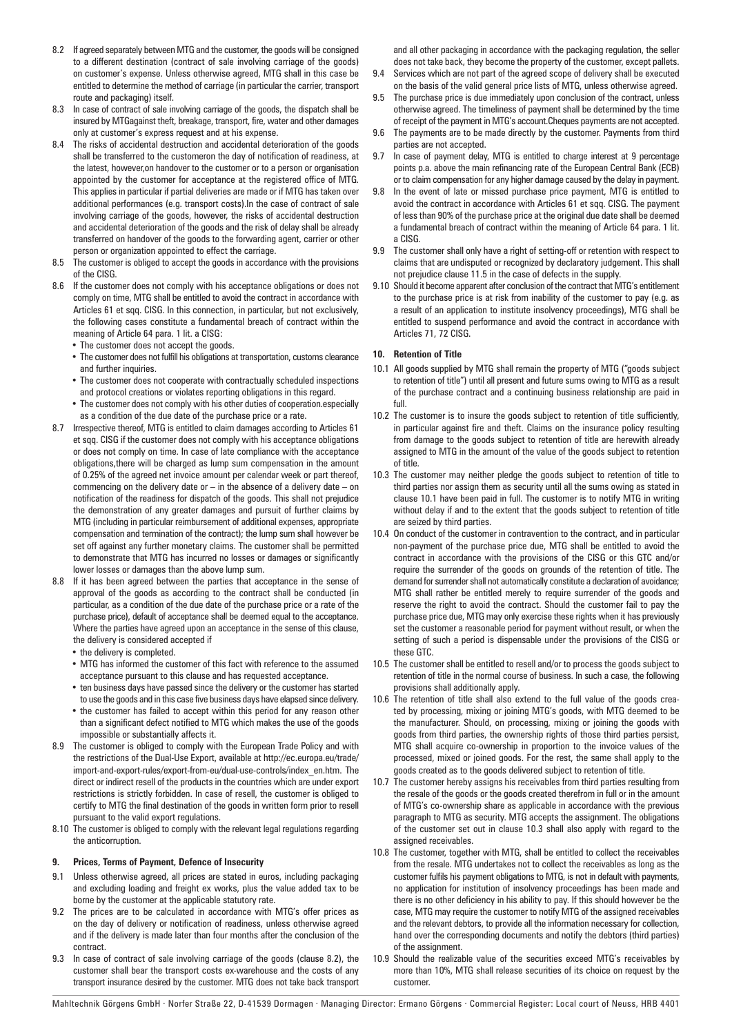- 8.2 If agreed separately between MTG and the customer, the goods will be consigned to a different destination (contract of sale involving carriage of the goods) on customer's expense. Unless otherwise agreed, MTG shall in this case be entitled to determine the method of carriage (in particular the carrier, transport route and packaging) itself.
- 8.3 In case of contract of sale involving carriage of the goods, the dispatch shall be insured by MTGagainst theft, breakage, transport, fire, water and other damages only at customer's express request and at his expense.
- 8.4 The risks of accidental destruction and accidental deterioration of the goods shall be transferred to the customeron the day of notification of readiness, at the latest, however,on handover to the customer or to a person or organisation appointed by the customer for acceptance at the registered office of MTG. This applies in particular if partial deliveries are made or if MTG has taken over additional performances (e.g. transport costs).In the case of contract of sale involving carriage of the goods, however, the risks of accidental destruction and accidental deterioration of the goods and the risk of delay shall be already transferred on handover of the goods to the forwarding agent, carrier or other person or organization appointed to effect the carriage.
- 8.5 The customer is obliged to accept the goods in accordance with the provisions of the CISG.
- 8.6 If the customer does not comply with his acceptance obligations or does not comply on time, MTG shall be entitled to avoid the contract in accordance with Articles 61 et sqq. CISG. In this connection, in particular, but not exclusively, the following cases constitute a fundamental breach of contract within the meaning of Article 64 para. 1 lit. a CISG:
	- The customer does not accept the goods.
	- The customer does not fulfill his obligations at transportation, customs clearance and further inquiries.
	- The customer does not cooperate with contractually scheduled inspections and protocol creations or violates reporting obligations in this regard.
	- The customer does not comply with his other duties of cooperation.especially as a condition of the due date of the purchase price or a rate.
- 8.7 Irrespective thereof, MTG is entitled to claim damages according to Articles 61 et sqq. CISG if the customer does not comply with his acceptance obligations or does not comply on time. In case of late compliance with the acceptance obligations,there will be charged as lump sum compensation in the amount of 0.25% of the agreed net invoice amount per calendar week or part thereof, commencing on the delivery date or – in the absence of a delivery date – on notification of the readiness for dispatch of the goods. This shall not prejudice the demonstration of any greater damages and pursuit of further claims by MTG (including in particular reimbursement of additional expenses, appropriate compensation and termination of the contract); the lump sum shall however be set off against any further monetary claims. The customer shall be permitted to demonstrate that MTG has incurred no losses or damages or significantly lower losses or damages than the above lump sum.
- 8.8 If it has been agreed between the parties that acceptance in the sense of approval of the goods as according to the contract shall be conducted (in particular, as a condition of the due date of the purchase price or a rate of the purchase price), default of acceptance shall be deemed equal to the acceptance. Where the parties have agreed upon an acceptance in the sense of this clause, the delivery is considered accepted if
	- the delivery is completed.
	- MTG has informed the customer of this fact with reference to the assumed acceptance pursuant to this clause and has requested acceptance.
	- ten business days have passed since the delivery or the customer has started to use the goods and in this case five business days have elapsed since delivery.
	- the customer has failed to accept within this period for any reason other than a significant defect notified to MTG which makes the use of the goods impossible or substantially affects it.
- 8.9 The customer is obliged to comply with the European Trade Policy and with the restrictions of the Dual-Use Export, available at http://ec.europa.eu/trade/ import-and-export-rules/export-from-eu/dual-use-controls/index\_en.htm. The direct or indirect resell of the products in the countries which are under export restrictions is strictly forbidden. In case of resell, the customer is obliged to certify to MTG the final destination of the goods in written form prior to resell pursuant to the valid export regulations.
- 8.10 The customer is obliged to comply with the relevant legal regulations regarding the anticorruption.

## **9. Prices, Terms of Payment, Defence of Insecurity**

- 9.1 Unless otherwise agreed, all prices are stated in euros, including packaging and excluding loading and freight ex works, plus the value added tax to be borne by the customer at the applicable statutory rate.
- 9.2 The prices are to be calculated in accordance with MTG's offer prices as on the day of delivery or notification of readiness, unless otherwise agreed and if the delivery is made later than four months after the conclusion of the contract.
- In case of contract of sale involving carriage of the goods (clause 8.2), the customer shall bear the transport costs ex-warehouse and the costs of any transport insurance desired by the customer. MTG does not take back transport

and all other packaging in accordance with the packaging regulation, the seller does not take back, they become the property of the customer, except pallets.

- 9.4 Services which are not part of the agreed scope of delivery shall be executed on the basis of the valid general price lists of MTG, unless otherwise agreed.
- 9.5 The purchase price is due immediately upon conclusion of the contract, unless otherwise agreed. The timeliness of payment shall be determined by the time of receipt of the payment in MTG's account.Cheques payments are not accepted.
- 9.6 The payments are to be made directly by the customer. Payments from third parties are not accepted.
- 9.7 In case of payment delay, MTG is entitled to charge interest at 9 percentage points p.a. above the main refinancing rate of the European Central Bank (ECB) or to claim compensation for any higher damage caused by the delay in payment.
- 9.8 In the event of late or missed purchase price payment, MTG is entitled to avoid the contract in accordance with Articles 61 et sqq. CISG. The payment of less than 90% of the purchase price at the original due date shall be deemed a fundamental breach of contract within the meaning of Article 64 para. 1 lit. a CISG.
- 9.9 The customer shall only have a right of setting-off or retention with respect to claims that are undisputed or recognized by declaratory judgement. This shall not prejudice clause 11.5 in the case of defects in the supply.
- 9.10 Should it become apparent after conclusion of the contract that MTG's entitlement to the purchase price is at risk from inability of the customer to pay (e.g. as a result of an application to institute insolvency proceedings), MTG shall be entitled to suspend performance and avoid the contract in accordance with Articles 71, 72 CISG.

#### **10. Retention of Title**

- 10.1 All goods supplied by MTG shall remain the property of MTG ("goods subject to retention of title") until all present and future sums owing to MTG as a result of the purchase contract and a continuing business relationship are paid in full.
- 10.2 The customer is to insure the goods subject to retention of title sufficiently, in particular against fire and theft. Claims on the insurance policy resulting from damage to the goods subject to retention of title are herewith already assigned to MTG in the amount of the value of the goods subject to retention of title.
- 10.3 The customer may neither pledge the goods subject to retention of title to third parties nor assign them as security until all the sums owing as stated in clause 10.1 have been paid in full. The customer is to notify MTG in writing without delay if and to the extent that the goods subject to retention of title are seized by third parties.
- 10.4 On conduct of the customer in contravention to the contract, and in particular non-payment of the purchase price due, MTG shall be entitled to avoid the contract in accordance with the provisions of the CISG or this GTC and/or require the surrender of the goods on grounds of the retention of title. The demand for surrender shall not automatically constitute a declaration of avoidance; MTG shall rather be entitled merely to require surrender of the goods and reserve the right to avoid the contract. Should the customer fail to pay the purchase price due, MTG may only exercise these rights when it has previously set the customer a reasonable period for payment without result, or when the setting of such a period is dispensable under the provisions of the CISG or these GTC.
- 10.5 The customer shall be entitled to resell and/or to process the goods subject to retention of title in the normal course of business. In such a case, the following provisions shall additionally apply.
- 10.6 The retention of title shall also extend to the full value of the goods created by processing, mixing or joining MTG's goods, with MTG deemed to be the manufacturer. Should, on processing, mixing or joining the goods with goods from third parties, the ownership rights of those third parties persist, MTG shall acquire co-ownership in proportion to the invoice values of the processed, mixed or joined goods. For the rest, the same shall apply to the goods created as to the goods delivered subject to retention of title.
- 10.7 The customer hereby assigns his receivables from third parties resulting from the resale of the goods or the goods created therefrom in full or in the amount of MTG's co-ownership share as applicable in accordance with the previous paragraph to MTG as security. MTG accepts the assignment. The obligations of the customer set out in clause 10.3 shall also apply with regard to the assigned receivables.
- 10.8 The customer, together with MTG, shall be entitled to collect the receivables from the resale. MTG undertakes not to collect the receivables as long as the customer fulfils his payment obligations to MTG, is not in default with payments, no application for institution of insolvency proceedings has been made and there is no other deficiency in his ability to pay. If this should however be the case, MTG may require the customer to notify MTG of the assigned receivables and the relevant debtors, to provide all the information necessary for collection, hand over the corresponding documents and notify the debtors (third parties) of the assignment.
- 10.9 Should the realizable value of the securities exceed MTG's receivables by more than 10%, MTG shall release securities of its choice on request by the customer.

Mahltechnik Görgens GmbH · Norfer Straße 22, D-41539 Dormagen · Managing Director: Ermano Görgens · Commercial Register: Local court of Neuss, HRB 4401